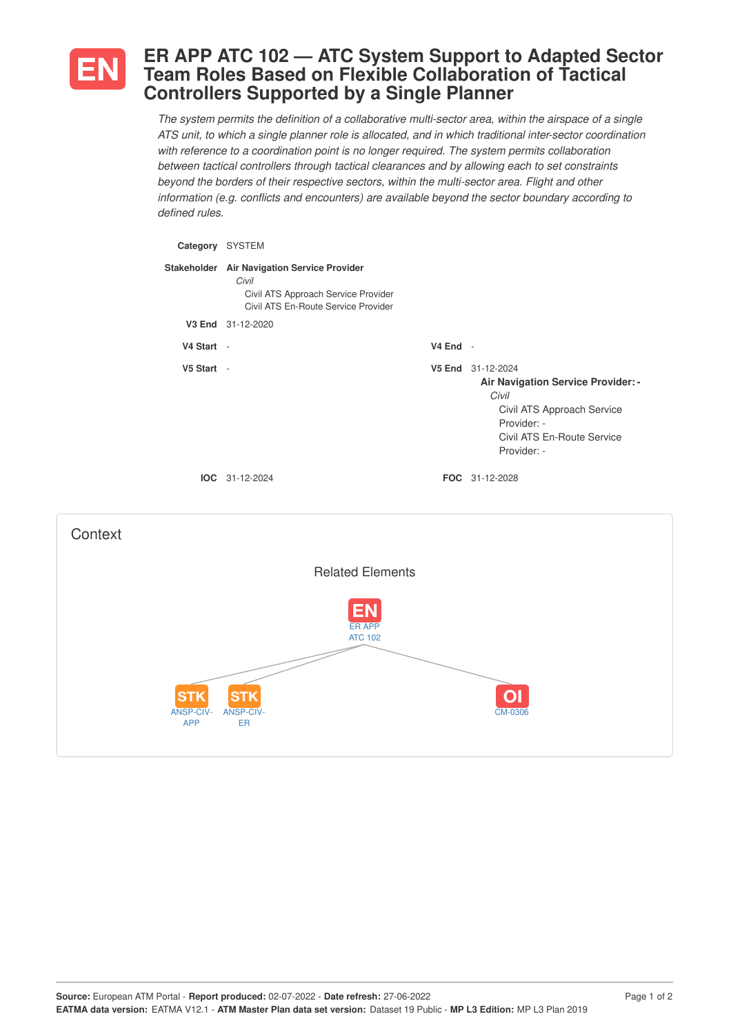

## **ER APP ATC 102 — ATC System Support to Adapted Sector Team Roles Based on Flexible Collaboration of Tactical Controllers Supported by a Single Planner**

*The system permits the definition of a collaborative multi-sector area, within the airspace of a single ATS unit, to which a single planner role is allocated, and in which traditional inter-sector coordination with reference to a coordination point is no longer required. The system permits collaboration between tactical controllers through tactical clearances and by allowing each to set constraints beyond the borders of their respective sectors, within the multi-sector area. Flight and other information (e.g. conflicts and encounters) are available beyond the sector boundary according to defined rules.*

| Category SYSTEM                       |                                                                                                                                    |            |                                                                                                                                                            |
|---------------------------------------|------------------------------------------------------------------------------------------------------------------------------------|------------|------------------------------------------------------------------------------------------------------------------------------------------------------------|
|                                       | Stakeholder Air Navigation Service Provider<br>Civil<br>Civil ATS Approach Service Provider<br>Civil ATS En-Route Service Provider |            |                                                                                                                                                            |
|                                       | V3 End 31-12-2020                                                                                                                  |            |                                                                                                                                                            |
| V4 Start -                            |                                                                                                                                    | $V4$ End - |                                                                                                                                                            |
| V5 Start -                            |                                                                                                                                    |            | V5 End 31-12-2024<br>Air Navigation Service Provider: -<br>Civil<br>Civil ATS Approach Service<br>Provider: -<br>Civil ATS En-Route Service<br>Provider: - |
|                                       | IOC 31-12-2024                                                                                                                     |            | FOC 31-12-2028                                                                                                                                             |
| Context                               |                                                                                                                                    |            |                                                                                                                                                            |
|                                       | <b>Related Elements</b>                                                                                                            |            |                                                                                                                                                            |
|                                       | <b>ER APP</b><br><b>ATC 102</b>                                                                                                    |            |                                                                                                                                                            |
| <b>STK</b><br>ANSP-CIV-<br><b>APP</b> | ANSP-CIV-<br>ER                                                                                                                    |            | O<br><b>CM-0306</b>                                                                                                                                        |